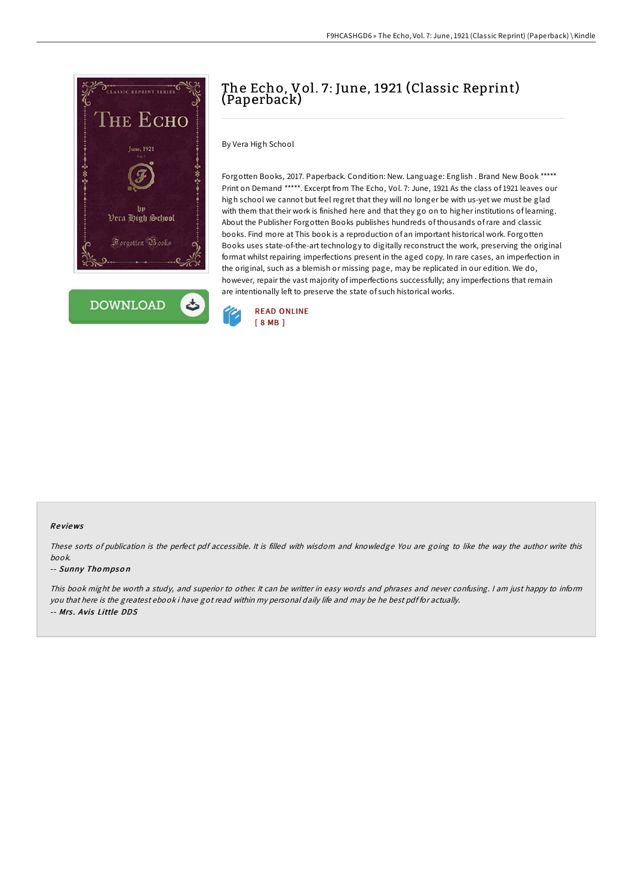



# The Echo, Vol. 7: June, 1921 (Classic Reprint) (Paperback)

By Vera High School

Forgotten Books, 2017. Paperback. Condition: New. Language: English . Brand New Book \*\*\*\*\* Print on Demand \*\*\*\*\*. Excerpt from The Echo, Vol. 7: June, 1921 As the class of 1921 leaves our high school we cannot but feel regret that they will no longer be with us-yet we must be glad with them that their work is finished here and that they go on to higher institutions of learning. About the Publisher Forgotten Books publishes hundreds of thousands ofrare and classic books. Find more at This book is a reproduction of an important historical work. Forgotten Books uses state-of-the-art technology to digitally reconstruct the work, preserving the original format whilst repairing imperfections present in the aged copy. In rare cases, an imperfection in the original, such as a blemish or missing page, may be replicated in our edition. We do, however, repair the vast majority of imperfections successfully; any imperfections that remain are intentionally left to preserve the state of such historical works.



#### Re views

These sorts of publication is the perfect pdf accessible. It is filled with wisdom and knowledge You are going to like the way the author write this book.

#### -- Sunny Tho mpso <sup>n</sup>

This book might be worth <sup>a</sup> study, and superior to other. It can be writter in easy words and phrases and never confusing. <sup>I</sup> am just happy to inform you that here is the greatest ebook i have got read within my personal daily life and may be he best pdf for actually. -- Mrs . Avis Little DDS